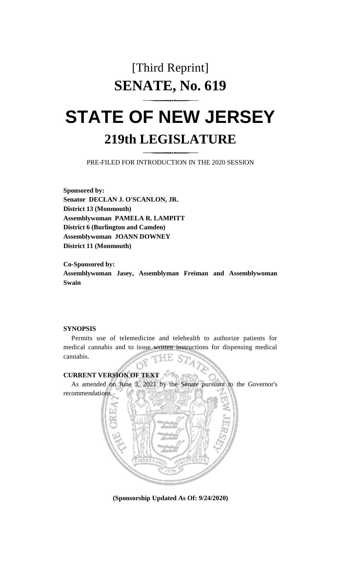## [Third Reprint] **SENATE, No. 619**

# **STATE OF NEW JERSEY 219th LEGISLATURE**

PRE-FILED FOR INTRODUCTION IN THE 2020 SESSION

**Sponsored by: Senator DECLAN J. O'SCANLON, JR. District 13 (Monmouth) Assemblywoman PAMELA R. LAMPITT District 6 (Burlington and Camden) Assemblywoman JOANN DOWNEY District 11 (Monmouth)**

**Co-Sponsored by: Assemblywoman Jasey, Assemblyman Freiman and Assemblywoman Swain**

#### **SYNOPSIS**

Permits use of telemedicine and telehealth to authorize patients for medical cannabis and to issue written instructions for dispensing medical cannabis.

### **CURRENT VERSION OF TEXT**

As amended on June 3, 2021 by the Senate pursuant to the Governor's



**(Sponsorship Updated As Of: 9/24/2020)**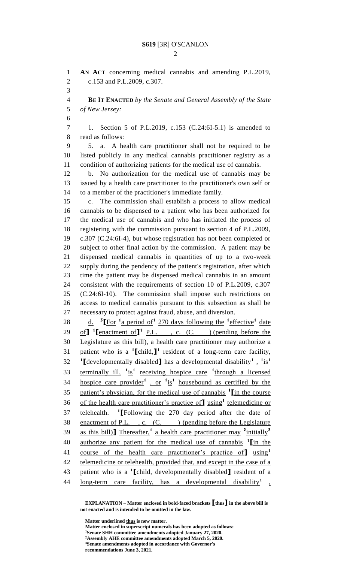**AN ACT** concerning medical cannabis and amending P.L.2019, c.153 and P.L.2009, c.307. **BE IT ENACTED** *by the Senate and General Assembly of the State of New Jersey:* 1. Section 5 of P.L.2019, c.153 (C.24:6I-5.1) is amended to read as follows: 5. a. A health care practitioner shall not be required to be listed publicly in any medical cannabis practitioner registry as a condition of authorizing patients for the medical use of cannabis. b. No authorization for the medical use of cannabis may be issued by a health care practitioner to the practitioner's own self or to a member of the practitioner's immediate family. c. The commission shall establish a process to allow medical cannabis to be dispensed to a patient who has been authorized for the medical use of cannabis and who has initiated the process of registering with the commission pursuant to section 4 of P.L.2009, c.307 (C.24:6I-4), but whose registration has not been completed or subject to other final action by the commission. A patient may be dispensed medical cannabis in quantities of up to a two-week supply during the pendency of the patient's registration, after which time the patient may be dispensed medical cannabis in an amount consistent with the requirements of section 10 of P.L.2009, c.307 (C.24:6I-10). The commission shall impose such restrictions on access to medical cannabis pursuant to this subsection as shall be necessary to protect against fraud, abuse, and diversion. 28 d. <sup>3</sup> [For <sup>1</sup> a period of <sup>1</sup> 270 days following the <sup>1</sup> effective <sup>1</sup> date 29 of  $\int$ <sup>1</sup> [enactment of  $\int$ <sup>1</sup> P.L., c. (C. ) (pending before the Legislature as this bill), a health care practitioner may authorize a patient who is a **<sup>1</sup> [**child,**] 1** resident of a long-term care facility, **[**developmentally disabled**]** has a developmental disability**<sup>1</sup>** , **1** is**1** 33 terminally ill, <sup>1</sup> is<sup>1</sup> receiving hospice care <sup>1</sup> through a licensed hospice care provider**<sup>1</sup>** , or **<sup>1</sup>** is**1** housebound as certified by the patient's physician, for the medical use of cannabis **<sup>1</sup> [**in the course 36 of the health care practitioner's practice of using<sup>1</sup> telemedicine or 37 **telehealth.** <sup>1</sup>[Following the 270 day period after the date of 38 enactment of P.L., c. (C.) (pending before the Legislature as this bill)**]** Thereafter,**<sup>1</sup>** a health care practitioner may **<sup>2</sup>** initially**<sup>2</sup>** authorize any patient for the medical use of cannabis **<sup>1</sup> [**in the course of the health care practitioner's practice of**]** using**<sup>1</sup>** 42 telemedicine or telehealth, provided that, and except in the case of a patient who is a **<sup>1</sup> [**child, developmentally disabled**]** resident of a 44 long-term care facility, has a developmental disability<sup>1</sup>,

**EXPLANATION – Matter enclosed in bold-faced brackets [thus] in the above bill is not enacted and is intended to be omitted in the law.**

**Matter underlined thus is new matter. Matter enclosed in superscript numerals has been adopted as follows: Senate SHH committee amendments adopted January 27, 2020. Assembly AHE committee amendments adopted March 5, 2020. Senate amendments adopted in accordance with Governor's recommendations June 3, 2021.**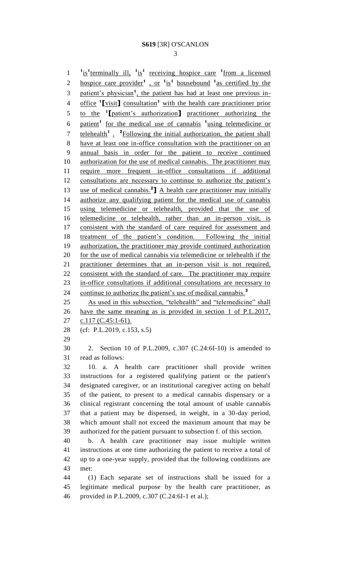1 <sup>1</sup>is<sup>1</sup> terminally ill, <sup>1</sup> is<sup>1</sup> receiving hospice care <sup>1</sup> from a licensed 2 hospice care provider<sup>1</sup>, or <sup>1</sup>is<sup>1</sup> housebound <sup>1</sup> as certified by the 3 patient's physician<sup>1</sup>, the patient has had at least one previous inoffice **<sup>1</sup> [**visit**]** consultation**<sup>1</sup>** with the health care practitioner prior to the **<sup>1</sup> [**patient's authorization**]** practitioner authorizing the patient**<sup>1</sup>** for the medical use of cannabis **<sup>1</sup>** using telemedicine or 7 telehealth<sup>1</sup> . <sup>2</sup>Following the initial authorization, the patient shall have at least one in-office consultation with the practitioner on an annual basis in order for the patient to receive continued 10 authorization for the use of medical cannabis. The practitioner may require more frequent in-office consultations if additional 12 consultations are necessary to continue to authorize the patient's 13 use of medical cannabis.<sup>2</sup> A health care practitioner may initially authorize any qualifying patient for the medical use of cannabis using telemedicine or telehealth, provided that the use of telemedicine or telehealth, rather than an in-person visit, is consistent with the standard of care required for assessment and treatment of the patient's condition. Following the initial authorization, the practitioner may provide continued authorization 20 for the use of medical cannabis via telemedicine or telehealth if the practitioner determines that an in-person visit is not required, 22 consistent with the standard of care. The practitioner may require in-office consultations if additional consultations are necessary to continue to authorize the patient's use of medical cannabis.**<sup>3</sup>** As used in this subsection, "telehealth" and "telemedicine" shall have the same meaning as is provided in section 1 of P.L.2017, 27 c.117 (C.45:1-61). (cf: P.L.2019, c.153, s.5) 2. Section 10 of P.L.2009, c.307 (C.24:6I-10) is amended to read as follows: 10. a. A health care practitioner shall provide written instructions for a registered qualifying patient or the patient's designated caregiver, or an institutional caregiver acting on behalf of the patient, to present to a medical cannabis dispensary or a clinical registrant concerning the total amount of usable cannabis that a patient may be dispensed, in weight, in a 30-day period, which amount shall not exceed the maximum amount that may be authorized for the patient pursuant to subsection f. of this section. b. A health care practitioner may issue multiple written instructions at one time authorizing the patient to receive a total of up to a one-year supply, provided that the following conditions are met: (1) Each separate set of instructions shall be issued for a legitimate medical purpose by the health care practitioner, as provided in P.L.2009, c.307 (C.24:6I-1 et al.);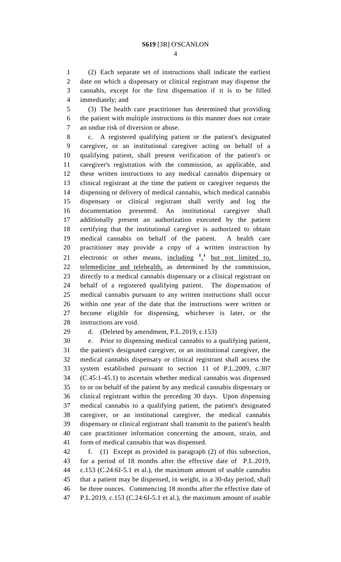(2) Each separate set of instructions shall indicate the earliest date on which a dispensary or clinical registrant may dispense the cannabis, except for the first dispensation if it is to be filled immediately; and

 (3) The health care practitioner has determined that providing the patient with multiple instructions in this manner does not create an undue risk of diversion or abuse.

 c. A registered qualifying patient or the patient's designated caregiver, or an institutional caregiver acting on behalf of a qualifying patient, shall present verification of the patient's or caregiver's registration with the commission, as applicable, and these written instructions to any medical cannabis dispensary or clinical registrant at the time the patient or caregiver requests the dispensing or delivery of medical cannabis, which medical cannabis dispensary or clinical registrant shall verify and log the documentation presented. An institutional caregiver shall additionally present an authorization executed by the patient certifying that the institutional caregiver is authorized to obtain medical cannabis on behalf of the patient. A health care practitioner may provide a copy of a written instruction by 21 electronic or other means,  $\frac{\text{including}}{2}$   $\frac{1}{2}$  but not limited to, telemedicine and telehealth, as determined by the commission, directly to a medical cannabis dispensary or a clinical registrant on behalf of a registered qualifying patient. The dispensation of medical cannabis pursuant to any written instructions shall occur within one year of the date that the instructions were written or become eligible for dispensing, whichever is later, or the instructions are void.

d. (Deleted by amendment, P.L.2019, c.153)

 e. Prior to dispensing medical cannabis to a qualifying patient, the patient's designated caregiver, or an institutional caregiver, the medical cannabis dispensary or clinical registrant shall access the system established pursuant to section 11 of P.L.2009, c.307 (C.45:1-45.1) to ascertain whether medical cannabis was dispensed to or on behalf of the patient by any medical cannabis dispensary or clinical registrant within the preceding 30 days. Upon dispensing medical cannabis to a qualifying patient, the patient's designated caregiver, or an institutional caregiver, the medical cannabis dispensary or clinical registrant shall transmit to the patient's health care practitioner information concerning the amount, strain, and form of medical cannabis that was dispensed.

 f. (1) Except as provided in paragraph (2) of this subsection, for a period of 18 months after the effective date of P.L.2019, c.153 (C.24:6I-5.1 et al.), the maximum amount of usable cannabis that a patient may be dispensed, in weight, in a 30-day period, shall be three ounces. Commencing 18 months after the effective date of P.L.2019, c.153 (C.24:6I-5.1 et al.), the maximum amount of usable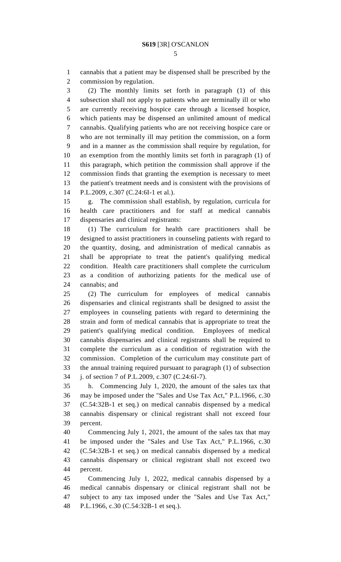cannabis that a patient may be dispensed shall be prescribed by the commission by regulation.

 (2) The monthly limits set forth in paragraph (1) of this subsection shall not apply to patients who are terminally ill or who are currently receiving hospice care through a licensed hospice, which patients may be dispensed an unlimited amount of medical cannabis. Qualifying patients who are not receiving hospice care or who are not terminally ill may petition the commission, on a form and in a manner as the commission shall require by regulation, for an exemption from the monthly limits set forth in paragraph (1) of this paragraph, which petition the commission shall approve if the commission finds that granting the exemption is necessary to meet the patient's treatment needs and is consistent with the provisions of P.L.2009, c.307 (C.24:6I-1 et al.).

 g. The commission shall establish, by regulation, curricula for health care practitioners and for staff at medical cannabis dispensaries and clinical registrants:

 (1) The curriculum for health care practitioners shall be designed to assist practitioners in counseling patients with regard to the quantity, dosing, and administration of medical cannabis as shall be appropriate to treat the patient's qualifying medical condition. Health care practitioners shall complete the curriculum as a condition of authorizing patients for the medical use of cannabis; and

 (2) The curriculum for employees of medical cannabis dispensaries and clinical registrants shall be designed to assist the employees in counseling patients with regard to determining the strain and form of medical cannabis that is appropriate to treat the patient's qualifying medical condition. Employees of medical cannabis dispensaries and clinical registrants shall be required to complete the curriculum as a condition of registration with the commission. Completion of the curriculum may constitute part of the annual training required pursuant to paragraph (1) of subsection j. of section 7 of P.L.2009, c.307 (C.24:6I-7).

 h. Commencing July 1, 2020, the amount of the sales tax that may be imposed under the "Sales and Use Tax Act," P.L.1966, c.30 (C.54:32B-1 et seq.) on medical cannabis dispensed by a medical cannabis dispensary or clinical registrant shall not exceed four percent.

 Commencing July 1, 2021, the amount of the sales tax that may be imposed under the "Sales and Use Tax Act," P.L.1966, c.30 (C.54:32B-1 et seq.) on medical cannabis dispensed by a medical cannabis dispensary or clinical registrant shall not exceed two percent.

 Commencing July 1, 2022, medical cannabis dispensed by a medical cannabis dispensary or clinical registrant shall not be subject to any tax imposed under the "Sales and Use Tax Act," P.L.1966, c.30 (C.54:32B-1 et seq.).